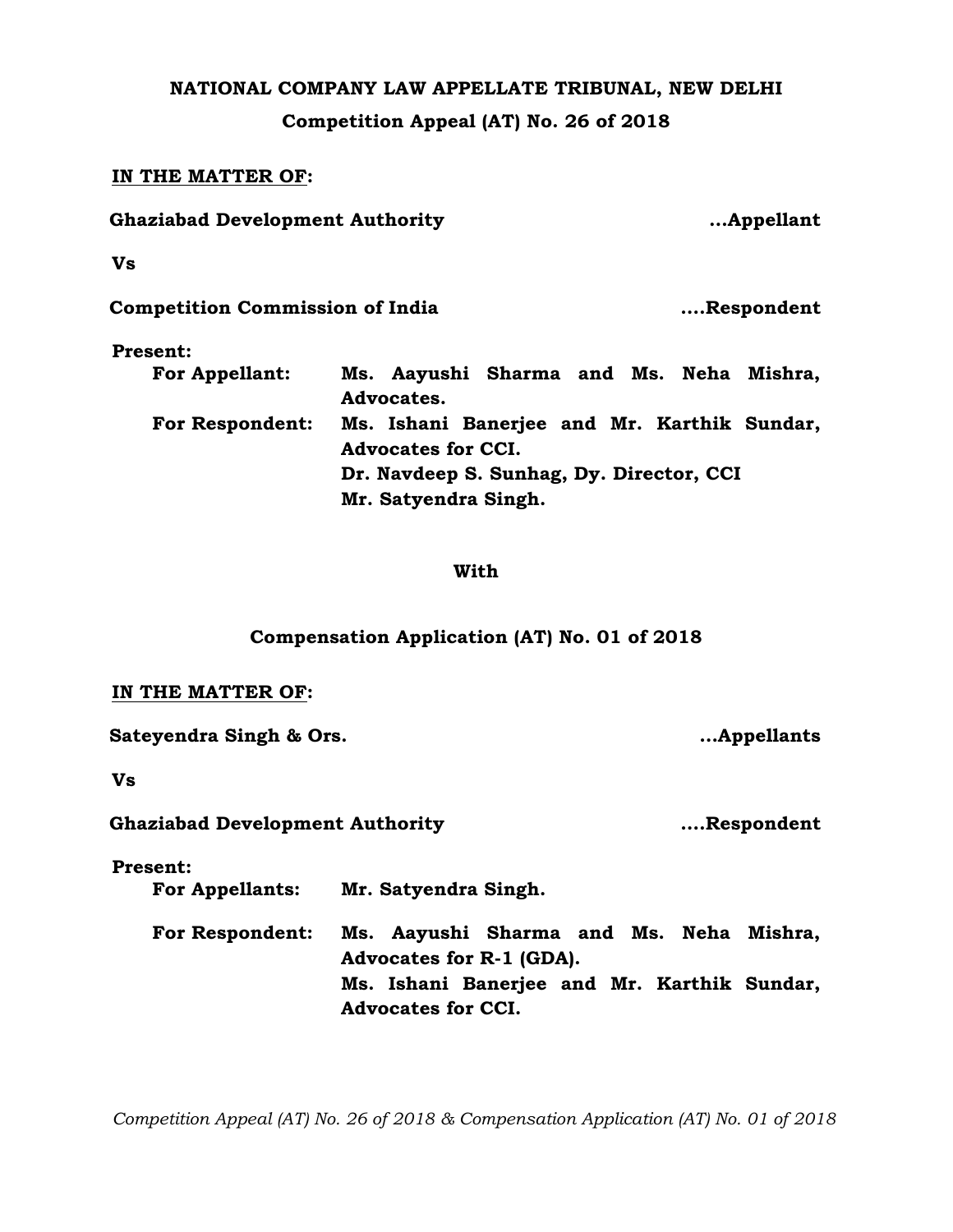# **NATIONAL COMPANY LAW APPELLATE TRIBUNAL, NEW DELHI Competition Appeal (AT) No. 26 of 2018**

## **IN THE MATTER OF:**

| <b>Ghaziabad Development Authority</b> |                                                                          | Appellant  |
|----------------------------------------|--------------------------------------------------------------------------|------------|
| <b>Vs</b>                              |                                                                          |            |
| <b>Competition Commission of India</b> |                                                                          | Respondent |
| <b>Present:</b>                        |                                                                          |            |
| <b>For Appellant:</b>                  | Ms. Aayushi Sharma and Ms. Neha Mishra,<br>Advocates.                    |            |
| <b>For Respondent:</b>                 | Ms. Ishani Banerjee and Mr. Karthik Sundar,<br><b>Advocates for CCI.</b> |            |
|                                        | Dr. Navdeep S. Sunhag, Dy. Director, CCI                                 |            |
|                                        | Mr. Satyendra Singh.                                                     |            |

### **With**

## **Compensation Application (AT) No. 01 of 2018**

#### **IN THE MATTER OF:**

**Sateyendra Singh & Ors. …Appellants**

**Vs**

**Ghaziabad Development Authority ….Respondent**

**Present:**

 **For Appellants: Mr. Satyendra Singh.**

 **For Respondent: Ms. Aayushi Sharma and Ms. Neha Mishra, Advocates for R-1 (GDA). Ms. Ishani Banerjee and Mr. Karthik Sundar, Advocates for CCI.**

*Competition Appeal (AT) No. 26 of 2018 & Compensation Application (AT) No. 01 of 2018*